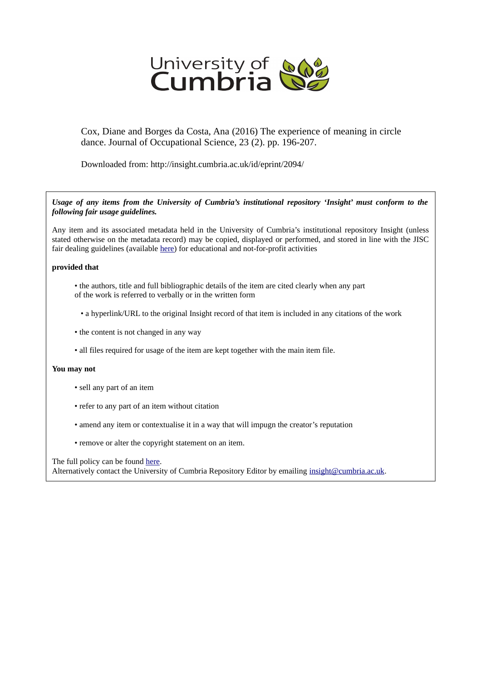

Cox, Diane and Borges da Costa, Ana (2016) The experience of meaning in circle dance. Journal of Occupational Science, 23 (2). pp. 196-207.

Downloaded from: http://insight.cumbria.ac.uk/id/eprint/2094/

*Usage of any items from the University of Cumbria's institutional repository 'Insight' must conform to the following fair usage guidelines.*

Any item and its associated metadata held in the University of Cumbria's institutional repository Insight (unless stated otherwise on the metadata record) may be copied, displayed or performed, and stored in line with the JISC fair dealing guidelines (available [here\)](http://www.ukoln.ac.uk/services/elib/papers/pa/fair/) for educational and not-for-profit activities

#### **provided that**

- the authors, title and full bibliographic details of the item are cited clearly when any part of the work is referred to verbally or in the written form
	- a hyperlink/URL to the original Insight record of that item is included in any citations of the work
- the content is not changed in any way
- all files required for usage of the item are kept together with the main item file.

#### **You may not**

- sell any part of an item
- refer to any part of an item without citation
- amend any item or contextualise it in a way that will impugn the creator's reputation
- remove or alter the copyright statement on an item.

The full policy can be found [here.](http://insight.cumbria.ac.uk/legal.html#section5)

Alternatively contact the University of Cumbria Repository Editor by emailing [insight@cumbria.ac.uk.](mailto:insight@cumbria.ac.uk)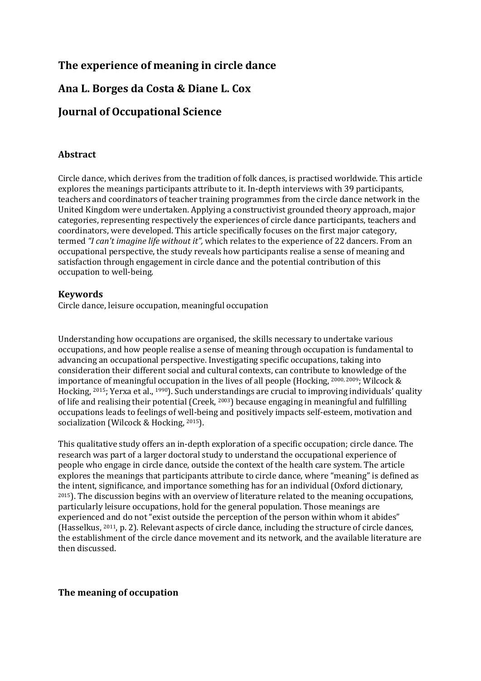# **The experience of meaning in circle dance**

# **[Ana L. Borges da Costa](http://www.tandfonline.com/author/Borges+da+Costa%2C+Ana+L) & Diane L. Cox**

# **[Journal of Occupational Science](http://www.tandfonline.com/toc/rocc20/current)**

# **Abstract**

Circle dance, which derives from the tradition of folk dances, is practised worldwide. This article explores the meanings participants attribute to it. In-depth interviews with 39 participants, teachers and coordinators of teacher training programmes from the circle dance network in the United Kingdom were undertaken. Applying a constructivist grounded theory approach, major categories, representing respectively the experiences of circle dance participants, teachers and coordinators, were developed. This article specifically focuses on the first major category, termed *"I can't imagine life without it",* which relates to the experience of 22 dancers. From an occupational perspective, the study reveals how participants realise a sense of meaning and satisfaction through engagement in circle dance and the potential contribution of this occupation to well-being.

# **Keywords**

Circle dance, leisure occupation, meaningful occupation

Understanding how occupations are organised, the skills necessary to undertake various occupations, and how people realise a sense of meaning through occupation is fundamental to advancing an occupational perspective. Investigating specific occupations, taking into consideration their different social and cultural contexts, can contribute to knowledge of the importance of meaningful occupation in the lives of all people (Hocking, [2000,](https://www.ncbi.nlm.nih.gov/pmc/articles/PMC4917970/?report=classic#CIT0022) [2009;](https://www.ncbi.nlm.nih.gov/pmc/articles/PMC4917970/?report=classic#CIT0023) Wilcock & Hocking[, 2015;](https://www.ncbi.nlm.nih.gov/pmc/articles/PMC4917970/?report=classic#CIT0052) Yerxa et al., [1990\)](https://www.ncbi.nlm.nih.gov/pmc/articles/PMC4917970/?report=classic#CIT0056). Such understandings are crucial to improving individuals' quality of life and realising their potential (Creek, [2003\)](https://www.ncbi.nlm.nih.gov/pmc/articles/PMC4917970/?report=classic#CIT0009) because engaging in meaningful and fulfilling occupations leads to feelings of well-being and positively impacts self-esteem, motivation and socialization (Wilcock & Hocking, [2015\)](https://www.ncbi.nlm.nih.gov/pmc/articles/PMC4917970/?report=classic#CIT0052).

This qualitative study offers an in-depth exploration of a specific occupation; circle dance. The research was part of a larger doctoral study to understand the occupational experience of people who engage in circle dance, outside the context of the health care system. The article explores the meanings that participants attribute to circle dance, where "meaning" is defined as the intent, significance, and importance something has for an individual (Oxford dictionary, [2015\)](https://www.ncbi.nlm.nih.gov/pmc/articles/PMC4917970/?report=classic#CIT0038). The discussion begins with an overview of literature related to the meaning occupations, particularly leisure occupations, hold for the general population. Those meanings are experienced and do not "exist outside the perception of the person within whom it abides" (Hasselkus, [2011,](https://www.ncbi.nlm.nih.gov/pmc/articles/PMC4917970/?report=classic#CIT0020) p. 2). Relevant aspects of circle dance, including the structure of circle dances, the establishment of the circle dance movement and its network, and the available literature are then discussed.

# **The meaning of occupation**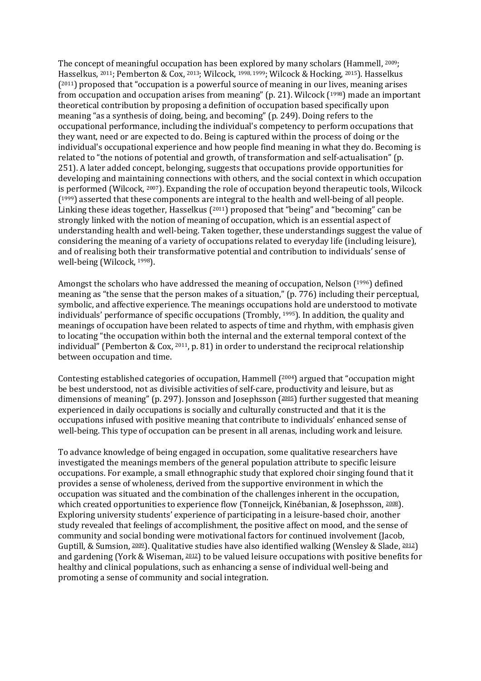The concept of meaningful occupation has been explored by many scholars (Hammell[, 2009;](https://www.ncbi.nlm.nih.gov/pmc/articles/PMC4917970/?report=classic#CIT0017) Hasselkus, [2011;](https://www.ncbi.nlm.nih.gov/pmc/articles/PMC4917970/?report=classic#CIT0020) Pemberton & Cox[, 2013;](https://www.ncbi.nlm.nih.gov/pmc/articles/PMC4917970/?report=classic#CIT0040) Wilcock[, 1998,](https://www.ncbi.nlm.nih.gov/pmc/articles/PMC4917970/?report=classic#CIT0049) [1999;](https://www.ncbi.nlm.nih.gov/pmc/articles/PMC4917970/?report=classic#CIT0050) Wilcock & Hocking, [2015\)](https://www.ncbi.nlm.nih.gov/pmc/articles/PMC4917970/?report=classic#CIT0052). Hasselkus  $(2011)$  proposed that "occupation is a powerful source of meaning in our lives, meaning arises from occupation and occupation arises from meaning" (p. 21). Wilcock  $(1998)$  made an important theoretical contribution by proposing a definition of occupation based specifically upon meaning "as a synthesis of doing, being, and becoming" (p. 249). Doing refers to the occupational performance, including the individual's competency to perform occupations that they want, need or are expected to do. Being is captured within the process of doing or the individual's occupational experience and how people find meaning in what they do. Becoming is related to "the notions of potential and growth, of transformation and self-actualisation" (p. 251). A later added concept, belonging, suggests that occupations provide opportunities for developing and maintaining connections with others, and the social context in which occupation is performed (Wilcock[, 2007\)](https://www.ncbi.nlm.nih.gov/pmc/articles/PMC4917970/?report=classic#CIT0051). Expanding the role of occupation beyond therapeutic tools, Wilcock [\(1999\)](https://www.ncbi.nlm.nih.gov/pmc/articles/PMC4917970/?report=classic#CIT0050) asserted that these components are integral to the health and well-being of all people. Linking these ideas together, Hasselkus [\(2011\)](https://www.ncbi.nlm.nih.gov/pmc/articles/PMC4917970/?report=classic#CIT0020) proposed that "being" and "becoming" can be strongly linked with the notion of meaning of occupation, which is an essential aspect of understanding health and well-being. Taken together, these understandings suggest the value of considering the meaning of a variety of occupations related to everyday life (including leisure), and of realising both their transformative potential and contribution to individuals' sense of well-being (Wilcock, [1998\)](https://www.ncbi.nlm.nih.gov/pmc/articles/PMC4917970/?report=classic#CIT0049).

Amongst the scholars who have addressed the meaning of occupation, Nelson [\(1996\)](https://www.ncbi.nlm.nih.gov/pmc/articles/PMC4917970/?report=classic#CIT0036) defined meaning as "the sense that the person makes of a situation," (p. 776) including their perceptual, symbolic, and affective experience. The meanings occupations hold are understood to motivate individuals' performance of specific occupations (Trombly, [1995\)](https://www.ncbi.nlm.nih.gov/pmc/articles/PMC4917970/?report=classic#CIT0046). In addition, the quality and meanings of occupation have been related to aspects of time and rhythm, with emphasis given to locating "the occupation within both the internal and the external temporal context of the individual" (Pemberton & Cox, [2011,](https://www.ncbi.nlm.nih.gov/pmc/articles/PMC4917970/?report=classic#CIT0039) p. 81) in order to understand the reciprocal relationship between occupation and time.

Contesting established categories of occupation, Hammell [\(2004\)](https://www.ncbi.nlm.nih.gov/pmc/articles/PMC4917970/?report=classic#CIT0016) argued that "occupation might be best understood, not as divisible activities of self-care, productivity and leisure, but as dimensions of meaning" (p. 297). Jonsson and Josephsson  $(2005)$  further suggested that meaning experienced in daily occupations is socially and culturally constructed and that it is the occupations infused with positive meaning that contribute to individuals' enhanced sense of well-being. This type of occupation can be present in all arenas, including work and leisure.

To advance knowledge of being engaged in occupation, some qualitative researchers have investigated the meanings members of the general population attribute to specific leisure occupations. For example, a small ethnographic study that explored choir singing found that it provides a sense of wholeness, derived from the supportive environment in which the occupation was situated and the combination of the challenges inherent in the occupation, which created opportunities to experience flow (Tonneijck, Kinébanian, & Josephsson, <sup>2008</sup>). Exploring university students' experience of participating in a leisure-based choir, another study revealed that feelings of accomplishment, the positive affect on mood, and the sense of community and social bonding were motivational factors for continued involvement (Jacob, Guptill, & Sumsion[, 2009\)](https://www.ncbi.nlm.nih.gov/pmc/articles/PMC4917970/?report=classic#CIT0024). Qualitative studies have also identified walking (Wensley & Slade, [2012\)](https://www.ncbi.nlm.nih.gov/pmc/articles/PMC4917970/?report=classic#CIT0048) and gardening (York & Wiseman[, 2012\)](https://www.ncbi.nlm.nih.gov/pmc/articles/PMC4917970/?report=classic#CIT0057) to be valued leisure occupations with positive benefits for healthy and clinical populations, such as enhancing a sense of individual well-being and promoting a sense of community and social integration.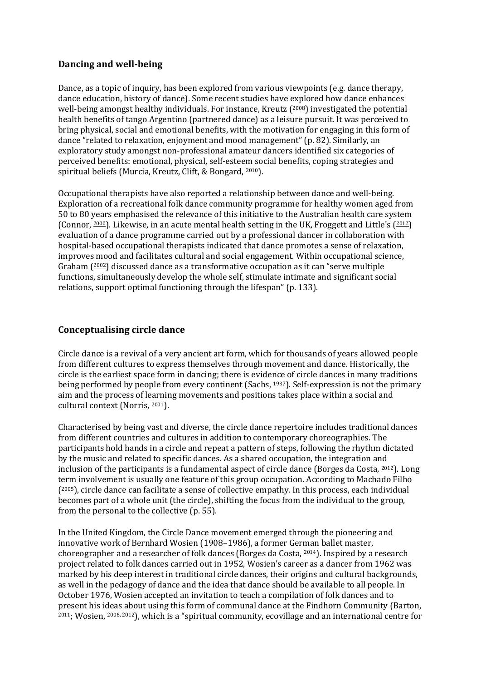# **Dancing and well-being**

Dance, as a topic of inquiry, has been explored from various viewpoints (e.g. dance therapy, dance education, history of dance). Some recent studies have explored how dance enhances well-being amongst healthy individuals. For instance, Kreutz [\(2008\)](https://www.ncbi.nlm.nih.gov/pmc/articles/PMC4917970/?report=classic#CIT0027) investigated the potential health benefits of tango Argentino (partnered dance) as a leisure pursuit. It was perceived to bring physical, social and emotional benefits, with the motivation for engaging in this form of dance "related to relaxation, enjoyment and mood management" (p. 82). Similarly, an exploratory study amongst non-professional amateur dancers identified six categories of perceived benefits: emotional, physical, self-esteem social benefits, coping strategies and spiritual beliefs (Murcia, Kreutz, Clift, & Bongard, [2010\)](https://www.ncbi.nlm.nih.gov/pmc/articles/PMC4917970/?report=classic#CIT0034).

Occupational therapists have also reported a relationship between dance and well-being. Exploration of a recreational folk dance community programme for healthy women aged from 50 to 80 years emphasised the relevance of this initiative to the Australian health care system (Connor,  $2000$ ). Likewise, in an acute mental health setting in the UK, Froggett and Little's  $(2012)$ evaluation of a dance programme carried out by a professional dancer in collaboration with hospital-based occupational therapists indicated that dance promotes a sense of relaxation, improves mood and facilitates cultural and social engagement. Within occupational science, Graham [\(2002\)](https://www.ncbi.nlm.nih.gov/pmc/articles/PMC4917970/?report=classic#CIT0015) discussed dance as a transformative occupation as it can "serve multiple functions, simultaneously develop the whole self, stimulate intimate and significant social relations, support optimal functioning through the lifespan" (p. 133).

# **Conceptualising circle dance**

Circle dance is a revival of a very ancient art form, which for thousands of years allowed people from different cultures to express themselves through movement and dance. Historically, the circle is the earliest space form in dancing; there is evidence of circle dances in many traditions being performed by people from every continent (Sachs, [1937\)](https://www.ncbi.nlm.nih.gov/pmc/articles/PMC4917970/?report=classic#CIT0041). Self-expression is not the primary aim and the process of learning movements and positions takes place within a social and cultural context (Norris[, 2001\)](https://www.ncbi.nlm.nih.gov/pmc/articles/PMC4917970/?report=classic#CIT0037).

Characterised by being vast and diverse, the circle dance repertoire includes traditional dances from different countries and cultures in addition to contemporary choreographies. The participants hold hands in a circle and repeat a pattern of steps, following the rhythm dictated by the music and related to specific dances. As a shared occupation, the integration and inclusion of the participants is a fundamental aspect of circle dance (Borges da Costa, [2012\)](https://www.ncbi.nlm.nih.gov/pmc/articles/PMC4917970/?report=classic#CIT0003). Long term involvement is usually one feature of this group occupation. According to Machado Filho  $(2005)$ , circle dance can facilitate a sense of collective empathy. In this process, each individual becomes part of a whole unit (the circle), shifting the focus from the individual to the group, from the personal to the collective (p. 55).

In the United Kingdom, the Circle Dance movement emerged through the pioneering and innovative work of Bernhard Wosien (1908–1986), a former German ballet master, choreographer and a researcher of folk dances (Borges da Costa, [2014\)](https://www.ncbi.nlm.nih.gov/pmc/articles/PMC4917970/?report=classic#CIT0004). Inspired by a research project related to folk dances carried out in 1952, Wosien's career as a dancer from 1962 was marked by his deep interest in traditional circle dances, their origins and cultural backgrounds, as well in the pedagogy of dance and the idea that dance should be available to all people. In October 1976, Wosien accepted an invitation to teach a compilation of folk dances and to present his ideas about using this form of communal dance at the Findhorn Community (Barton, [2011;](https://www.ncbi.nlm.nih.gov/pmc/articles/PMC4917970/?report=classic#CIT0001) Wosien, [2006,](https://www.ncbi.nlm.nih.gov/pmc/articles/PMC4917970/?report=classic#CIT0053) [2012\)](https://www.ncbi.nlm.nih.gov/pmc/articles/PMC4917970/?report=classic#CIT0054), which is a "spiritual community, ecovillage and an international centre for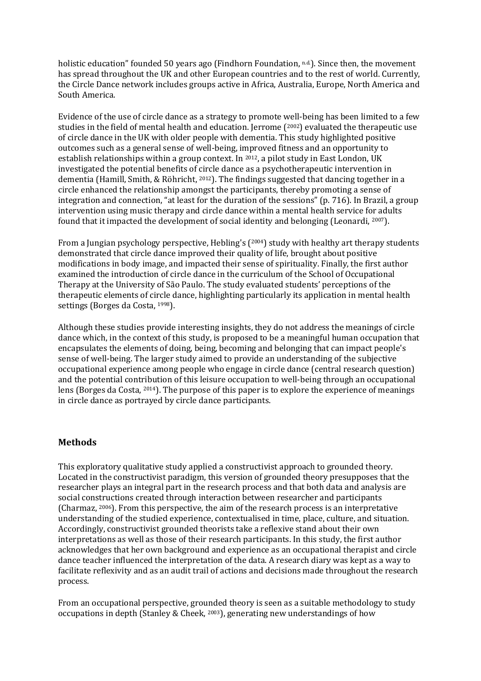holistic education" founded 50 years ago (Findhorn Foundation, [n.d.\)](https://www.ncbi.nlm.nih.gov/pmc/articles/PMC4917970/?report=classic#CIT0013). Since then, the movement has spread throughout the UK and other European countries and to the rest of world. Currently, the Circle Dance network includes groups active in Africa, Australia, Europe, North America and South America.

Evidence of the use of circle dance as a strategy to promote well-being has been limited to a few studies in the field of mental health and education. Jerrome  $(2002)$  evaluated the therapeutic use of circle dance in the UK with older people with dementia. This study highlighted positive outcomes such as a general sense of well-being, improved fitness and an opportunity to establish relationships within a group context. I[n 2012,](https://www.ncbi.nlm.nih.gov/pmc/articles/PMC4917970/?report=classic#CIT0018) a pilot study in East London, UK investigated the potential benefits of circle dance as a psychotherapeutic intervention in dementia (Hamill, Smith, & Röhricht[, 2012\)](https://www.ncbi.nlm.nih.gov/pmc/articles/PMC4917970/?report=classic#CIT0018). The findings suggested that dancing together in a circle enhanced the relationship amongst the participants, thereby promoting a sense of integration and connection, "at least for the duration of the sessions" (p. 716). In Brazil, a group intervention using music therapy and circle dance within a mental health service for adults found that it impacted the development of social identity and belonging (Leonardi, [2007\)](https://www.ncbi.nlm.nih.gov/pmc/articles/PMC4917970/?report=classic#CIT0029).

From a Jungian psychology perspective, Hebling's [\(2004\)](https://www.ncbi.nlm.nih.gov/pmc/articles/PMC4917970/?report=classic#CIT0021) study with healthy art therapy students demonstrated that circle dance improved their quality of life, brought about positive modifications in body image, and impacted their sense of spirituality. Finally, the first author examined the introduction of circle dance in the curriculum of the School of Occupational Therapy at the University of São Paulo. The study evaluated students' perceptions of the therapeutic elements of circle dance, highlighting particularly its application in mental health settings (Borges da Costa, [1998\)](https://www.ncbi.nlm.nih.gov/pmc/articles/PMC4917970/?report=classic#CIT0002).

Although these studies provide interesting insights, they do not address the meanings of circle dance which, in the context of this study, is proposed to be a meaningful human occupation that encapsulates the elements of doing, being, becoming and belonging that can impact people's sense of well-being. The larger study aimed to provide an understanding of the subjective occupational experience among people who engage in circle dance (central research question) and the potential contribution of this leisure occupation to well-being through an occupational lens (Borges da Costa[, 2014\)](https://www.ncbi.nlm.nih.gov/pmc/articles/PMC4917970/?report=classic#CIT0004). The purpose of this paper is to explore the experience of meanings in circle dance as portrayed by circle dance participants.

# **Methods**

This exploratory qualitative study applied a constructivist approach to grounded theory. Located in the constructivist paradigm, this version of grounded theory presupposes that the researcher plays an integral part in the research process and that both data and analysis are social constructions created through interaction between researcher and participants (Charmaz[, 2006\)](https://www.ncbi.nlm.nih.gov/pmc/articles/PMC4917970/?report=classic#CIT0006). From this perspective, the aim of the research process is an interpretative understanding of the studied experience, contextualised in time, place, culture, and situation. Accordingly, constructivist grounded theorists take a reflexive stand about their own interpretations as well as those of their research participants. In this study, the first author acknowledges that her own background and experience as an occupational therapist and circle dance teacher influenced the interpretation of the data. A research diary was kept as a way to facilitate reflexivity and as an audit trail of actions and decisions made throughout the research process.

From an occupational perspective, grounded theory is seen as a suitable methodology to study occupations in depth (Stanley & Cheek, [2003\)](https://www.ncbi.nlm.nih.gov/pmc/articles/PMC4917970/?report=classic#CIT0043), generating new understandings of how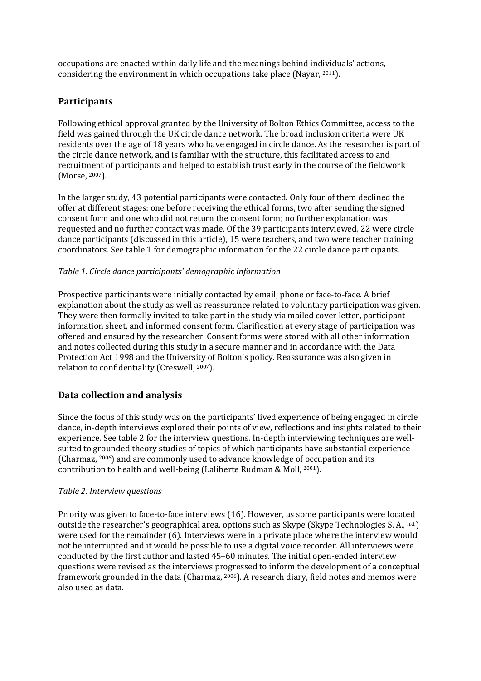occupations are enacted within daily life and the meanings behind individuals' actions, considering the environment in which occupations take place (Nayar[, 2011\)](https://www.ncbi.nlm.nih.gov/pmc/articles/PMC4917970/?report=classic#CIT0035).

# **Participants**

Following ethical approval granted by the University of Bolton Ethics Committee, access to the field was gained through the UK circle dance network. The broad inclusion criteria were UK residents over the age of 18 years who have engaged in circle dance. As the researcher is part of the circle dance network, and is familiar with the structure, this facilitated access to and recruitment of participants and helped to establish trust early in the course of the fieldwork (Morse, [2007\)](https://www.ncbi.nlm.nih.gov/pmc/articles/PMC4917970/?report=classic#CIT0033).

In the larger study, 43 potential participants were contacted. Only four of them declined the offer at different stages: one before receiving the ethical forms, two after sending the signed consent form and one who did not return the consent form; no further explanation was requested and no further contact was made. Of the 39 participants interviewed, 22 were circle dance participants (discussed in this article), 15 were teachers, and two were teacher training coordinators. See [table 1](https://www.ncbi.nlm.nih.gov/pmc/articles/PMC4917970/table/T0001/) for demographic information for the 22 circle dance participants.

# *[Table 1. C](https://www.ncbi.nlm.nih.gov/pmc/articles/PMC4917970/table/T0001/)ircle dance participants' demographic information*

Prospective participants were initially contacted by email, phone or face-to-face. A brief explanation about the study as well as reassurance related to voluntary participation was given. They were then formally invited to take part in the study via mailed cover letter, participant information sheet, and informed consent form. Clarification at every stage of participation was offered and ensured by the researcher. Consent forms were stored with all other information and notes collected during this study in a secure manner and in accordance with the Data Protection Act 1998 and the University of Bolton's policy. Reassurance was also given in relation to confidentiality (Creswell[, 2007\)](https://www.ncbi.nlm.nih.gov/pmc/articles/PMC4917970/?report=classic#CIT0010).

# **Data collection and analysis**

Since the focus of this study was on the participants' lived experience of being engaged in circle dance, in-depth interviews explored their points of view, reflections and insights related to their experience. See [table 2](https://www.ncbi.nlm.nih.gov/pmc/articles/PMC4917970/table/T0002/) for the interview questions. In-depth interviewing techniques are wellsuited to grounded theory studies of topics of which participants have substantial experience (Charmaz[, 2006\)](https://www.ncbi.nlm.nih.gov/pmc/articles/PMC4917970/?report=classic#CIT0006) and are commonly used to advance knowledge of occupation and its contribution to health and well-being (Laliberte Rudman & Moll, [2001\)](https://www.ncbi.nlm.nih.gov/pmc/articles/PMC4917970/?report=classic#CIT0028).

### *[Table 2. I](https://www.ncbi.nlm.nih.gov/pmc/articles/PMC4917970/table/T0002/)nterview questions*

Priority was given to face-to-face interviews (16). However, as some participants were located outside the researcher's geographical area, options such as Skype (Skype Technologies S. A., [n.d.\)](https://www.ncbi.nlm.nih.gov/pmc/articles/PMC4917970/?report=classic#CIT0042) were used for the remainder (6). Interviews were in a private place where the interview would not be interrupted and it would be possible to use a digital voice recorder. All interviews were conducted by the first author and lasted 45–60 minutes. The initial open-ended interview questions were revised as the interviews progressed to inform the development of a conceptual framework grounded in the data (Charmaz[, 2006\)](https://www.ncbi.nlm.nih.gov/pmc/articles/PMC4917970/?report=classic#CIT0006). A research diary, field notes and memos were also used as data.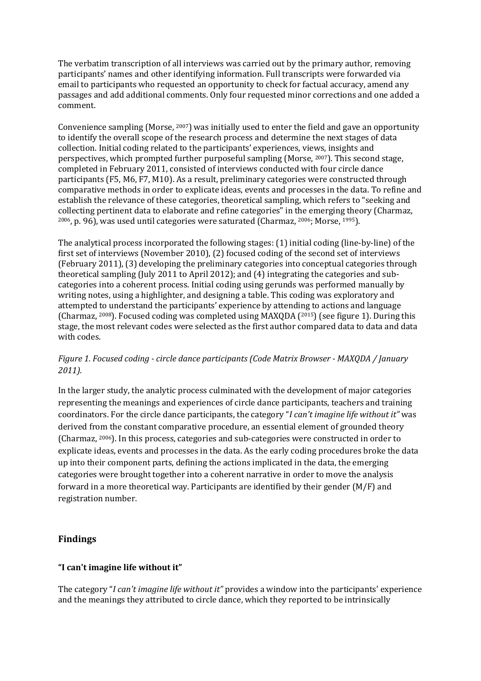The verbatim transcription of all interviews was carried out by the primary author, removing participants' names and other identifying information. Full transcripts were forwarded via email to participants who requested an opportunity to check for factual accuracy, amend any passages and add additional comments. Only four requested minor corrections and one added a comment.

Convenience sampling (Morse, [2007\)](https://www.ncbi.nlm.nih.gov/pmc/articles/PMC4917970/?report=classic#CIT0033) was initially used to enter the field and gave an opportunity to identify the overall scope of the research process and determine the next stages of data collection. Initial coding related to the participants' experiences, views, insights and perspectives, which prompted further purposeful sampling (Morse, [2007\)](https://www.ncbi.nlm.nih.gov/pmc/articles/PMC4917970/?report=classic#CIT0033). This second stage, completed in February 2011, consisted of interviews conducted with four circle dance participants (F5, M6, F7, M10). As a result, preliminary categories were constructed through comparative methods in order to explicate ideas, events and processes in the data. To refine and establish the relevance of these categories, theoretical sampling, which refers to "seeking and collecting pertinent data to elaborate and refine categories" in the emerging theory (Charmaz, [2006,](https://www.ncbi.nlm.nih.gov/pmc/articles/PMC4917970/?report=classic#CIT0006) p. 96), was used until categories were saturated (Charmaz, [2006;](https://www.ncbi.nlm.nih.gov/pmc/articles/PMC4917970/?report=classic#CIT0006) Morse, [1995\)](https://www.ncbi.nlm.nih.gov/pmc/articles/PMC4917970/?report=classic#CIT0032).

The analytical process incorporated the following stages: (1) initial coding (line-by-line) of the first set of interviews (November 2010), (2) focused coding of the second set of interviews (February 2011), (3) developing the preliminary categories into conceptual categories through theoretical sampling (July 2011 to April 2012); and (4) integrating the categories and subcategories into a coherent process. Initial coding using gerunds was performed manually by writing notes, using a highlighter, and designing a table. This coding was exploratory and attempted to understand the participants' experience by attending to actions and language (Charmaz,  $^{2008}$ ). Focused coding was completed using MAXODA ( $^{2015}$ ) (see [figure 1\)](https://www.ncbi.nlm.nih.gov/pmc/articles/PMC4917970/figure/F0001/). During this stage, the most relevant codes were selected as the first author compared data to data and data with codes.

# *[Figure 1. F](https://www.ncbi.nlm.nih.gov/pmc/articles/PMC4917970/figure/F0001/)ocused coding - circle dance participants (Code Matrix Browser - MAXQDA / January 2011).*

In the larger study, the analytic process culminated with the development of major categories representing the meanings and experiences of circle dance participants, teachers and training coordinators. For the circle dance participants, the category "*I can't imagine life without it"* was derived from the constant comparative procedure, an essential element of grounded theory (Charmaz[, 2006\)](https://www.ncbi.nlm.nih.gov/pmc/articles/PMC4917970/?report=classic#CIT0006). In this process, categories and sub-categories were constructed in order to explicate ideas, events and processes in the data. As the early coding procedures broke the data up into their component parts, defining the actions implicated in the data, the emerging categories were brought together into a coherent narrative in order to move the analysis forward in a more theoretical way. Participants are identified by their gender (M/F) and registration number.

# **Findings**

### **"I can't imagine life without it"**

The category "*I can't imagine life without it"* provides a window into the participants' experience and the meanings they attributed to circle dance, which they reported to be intrinsically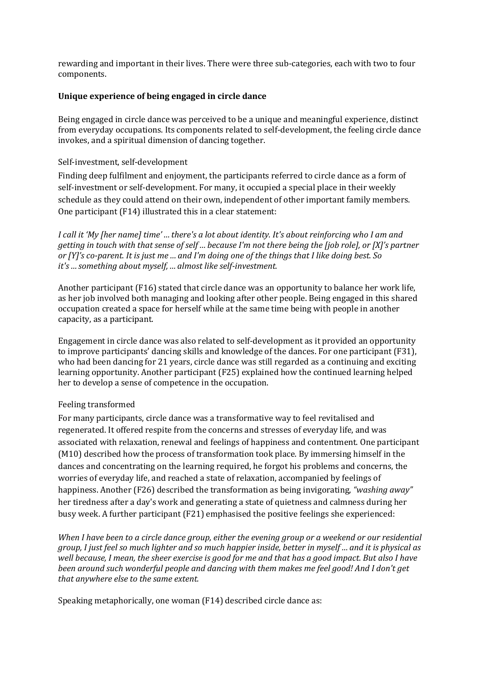rewarding and important in their lives. There were three sub-categories, each with two to four components.

#### **Unique experience of being engaged in circle dance**

Being engaged in circle dance was perceived to be a unique and meaningful experience, distinct from everyday occupations. Its components related to self-development, the feeling circle dance invokes, and a spiritual dimension of dancing together.

#### Self-investment, self-development

Finding deep fulfilment and enjoyment, the participants referred to circle dance as a form of self-investment or self-development. For many, it occupied a special place in their weekly schedule as they could attend on their own, independent of other important family members. One participant (F14) illustrated this in a clear statement:

*I call it 'My [her name] time' … there's a lot about identity. It's about reinforcing who I am and getting in touch with that sense of self … because I'm not there being the [job role], or [X]'s partner or [Y]'s co-parent. It is just me … and I'm doing one of the things that I like doing best. So it's … something about myself, … almost like self-investment.*

Another participant (F16) stated that circle dance was an opportunity to balance her work life, as her job involved both managing and looking after other people. Being engaged in this shared occupation created a space for herself while at the same time being with people in another capacity, as a participant.

Engagement in circle dance was also related to self-development as it provided an opportunity to improve participants' dancing skills and knowledge of the dances. For one participant (F31), who had been dancing for 21 years, circle dance was still regarded as a continuing and exciting learning opportunity. Another participant (F25) explained how the continued learning helped her to develop a sense of competence in the occupation.

### Feeling transformed

For many participants, circle dance was a transformative way to feel revitalised and regenerated. It offered respite from the concerns and stresses of everyday life, and was associated with relaxation, renewal and feelings of happiness and contentment. One participant (M10) described how the process of transformation took place. By immersing himself in the dances and concentrating on the learning required, he forgot his problems and concerns, the worries of everyday life, and reached a state of relaxation, accompanied by feelings of happiness. Another (F26) described the transformation as being invigorating, *"washing away"* her tiredness after a day's work and generating a state of quietness and calmness during her busy week. A further participant (F21) emphasised the positive feelings she experienced:

*When I have been to a circle dance group, either the evening group or a weekend or our residential group, I just feel so much lighter and so much happier inside, better in myself … and it is physical as well because, I mean, the sheer exercise is good for me and that has a good impact. But also I have been around such wonderful people and dancing with them makes me feel good! And I don't get that anywhere else to the same extent.*

Speaking metaphorically, one woman (F14) described circle dance as: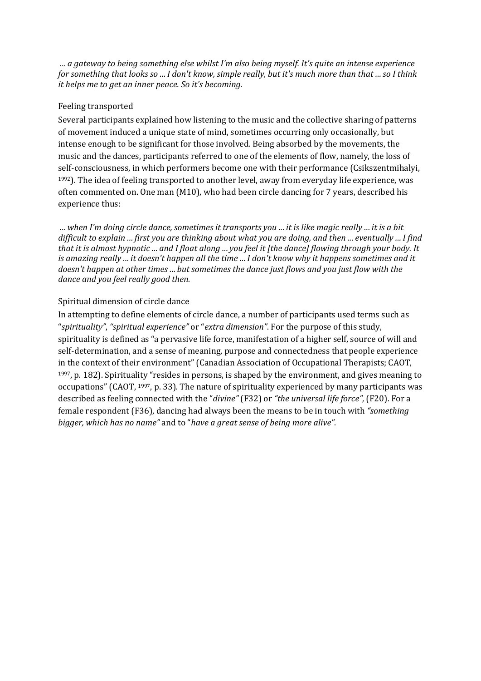*… a gateway to being something else whilst I'm also being myself. It's quite an intense experience for something that looks so … I don't know, simple really, but it's much more than that … so I think it helps me to get an inner peace. So it's becoming.*

## Feeling transported

Several participants explained how listening to the music and the collective sharing of patterns of movement induced a unique state of mind, sometimes occurring only occasionally, but intense enough to be significant for those involved. Being absorbed by the movements, the music and the dances, participants referred to one of the elements of flow, namely, the loss of self-consciousness, in which performers become one with their performance (Csikszentmihalyi, [1992\)](https://www.ncbi.nlm.nih.gov/pmc/articles/PMC4917970/?report=classic#CIT0012). The idea of feeling transported to another level, away from everyday life experience, was often commented on. One man (M10), who had been circle dancing for 7 years, described his experience thus:

*… when I'm doing circle dance, sometimes it transports you … it is like magic really … it is a bit difficult to explain … first you are thinking about what you are doing, and then … eventually … I find that it is almost hypnotic … and I float along … you feel it [the dance] flowing through your body. It is amazing really … it doesn't happen all the time … I don't know why it happens sometimes and it doesn't happen at other times … but sometimes the dance just flows and you just flow with the dance and you feel really good then.*

# Spiritual dimension of circle dance

In attempting to define elements of circle dance, a number of participants used terms such as "*spirituality"*, *"spiritual experience"* or "*extra dimension"*. For the purpose of this study, spirituality is defined as "a pervasive life force, manifestation of a higher self, source of will and self-determination, and a sense of meaning, purpose and connectedness that people experience in the context of their environment" (Canadian Association of Occupational Therapists; CAOT, <sup>1997</sup>, p. 182). Spirituality "resides in persons, is shaped by the environment, and gives meaning to occupations" (CAOT, [1997,](https://www.ncbi.nlm.nih.gov/pmc/articles/PMC4917970/?report=classic#CIT0005) p. 33). The nature of spirituality experienced by many participants was described as feeling connected with the "*divine"* (F32) or *"the universal life force",* (F20). For a female respondent (F36), dancing had always been the means to be in touch with *"something bigger, which has no name"* and to "*have a great sense of being more alive"*.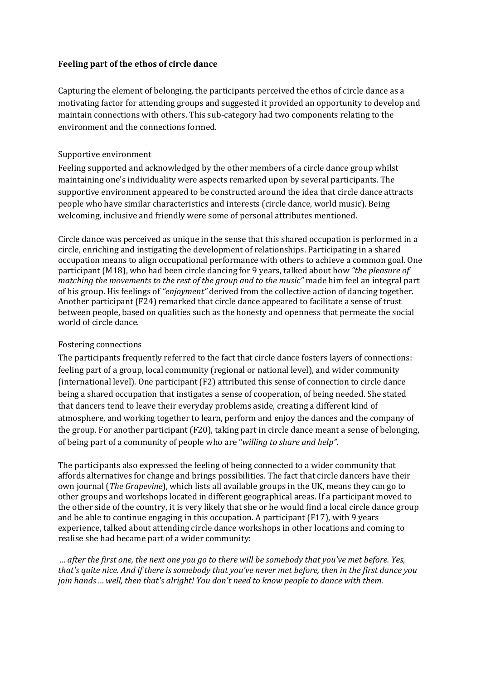## **Feeling part of the ethos of circle dance**

Capturing the element of belonging, the participants perceived the ethos of circle dance as a motivating factor for attending groups and suggested it provided an opportunity to develop and maintain connections with others. This sub-category had two components relating to the environment and the connections formed.

# Supportive environment

Feeling supported and acknowledged by the other members of a circle dance group whilst maintaining one's individuality were aspects remarked upon by several participants. The supportive environment appeared to be constructed around the idea that circle dance attracts people who have similar characteristics and interests (circle dance, world music). Being welcoming, inclusive and friendly were some of personal attributes mentioned.

Circle dance was perceived as unique in the sense that this shared occupation is performed in a circle, enriching and instigating the development of relationships. Participating in a shared occupation means to align occupational performance with others to achieve a common goal. One participant (M18), who had been circle dancing for 9 years, talked about how *"the pleasure of matching the movements to the rest of the group and to the music"* made him feel an integral part of his group. His feelings of *"enjoyment"* derived from the collective action of dancing together. Another participant (F24) remarked that circle dance appeared to facilitate a sense of trust between people, based on qualities such as the honesty and openness that permeate the social world of circle dance.

# Fostering connections

The participants frequently referred to the fact that circle dance fosters layers of connections: feeling part of a group, local community (regional or national level), and wider community (international level). One participant (F2) attributed this sense of connection to circle dance being a shared occupation that instigates a sense of cooperation, of being needed. She stated that dancers tend to leave their everyday problems aside, creating a different kind of atmosphere, and working together to learn, perform and enjoy the dances and the company of the group. For another participant (F20), taking part in circle dance meant a sense of belonging, of being part of a community of people who are "*willing to share and help"*.

The participants also expressed the feeling of being connected to a wider community that affords alternatives for change and brings possibilities. The fact that circle dancers have their own journal (*The Grapevine*), which lists all available groups in the UK, means they can go to other groups and workshops located in different geographical areas. If a participant moved to the other side of the country, it is very likely that she or he would find a local circle dance group and be able to continue engaging in this occupation. A participant (F17), with 9 years experience, talked about attending circle dance workshops in other locations and coming to realise she had became part of a wider community:

*… after the first one, the next one you go to there will be somebody that you've met before. Yes, that's quite nice. And if there is somebody that you've never met before, then in the first dance you join hands … well, then that's alright! You don't need to know people to dance with them.*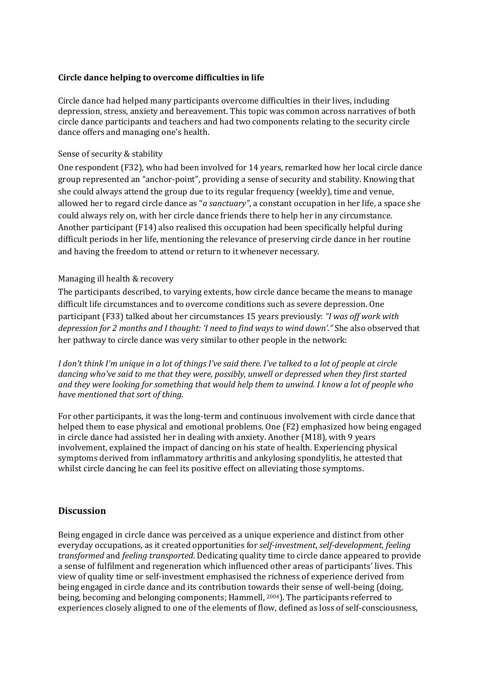#### **Circle dance helping to overcome difficulties in life**

Circle dance had helped many participants overcome difficulties in their lives, including depression, stress, anxiety and bereavement. This topic was common across narratives of both circle dance participants and teachers and had two components relating to the security circle dance offers and managing one's health.

#### Sense of security & stability

One respondent (F32), who had been involved for 14 years, remarked how her local circle dance group represented an "anchor-point", providing a sense of security and stability. Knowing that she could always attend the group due to its regular frequency (weekly), time and venue, allowed her to regard circle dance as "*a sanctuary"*, a constant occupation in her life, a space she could always rely on, with her circle dance friends there to help her in any circumstance. Another participant (F14) also realised this occupation had been specifically helpful during difficult periods in her life, mentioning the relevance of preserving circle dance in her routine and having the freedom to attend or return to it whenever necessary.

#### Managing ill health & recovery

The participants described, to varying extents, how circle dance became the means to manage difficult life circumstances and to overcome conditions such as severe depression. One participant (F33) talked about her circumstances 15 years previously: *"I was off work with depression for 2 months and I thought: 'I need to find ways to wind down'."* She also observed that her pathway to circle dance was very similar to other people in the network:

*I don't think I'm unique in a lot of things I've said there. I've talked to a lot of people at circle dancing who've said to me that they were, possibly, unwell or depressed when they first started and they were looking for something that would help them to unwind. I know a lot of people who have mentioned that sort of thing.*

For other participants, it was the long-term and continuous involvement with circle dance that helped them to ease physical and emotional problems. One (F2) emphasized how being engaged in circle dance had assisted her in dealing with anxiety. Another (M18), with 9 years involvement, explained the impact of dancing on his state of health. Experiencing physical symptoms derived from inflammatory arthritis and ankylosing spondylitis, he attested that whilst circle dancing he can feel its positive effect on alleviating those symptoms.

### **Discussion**

Being engaged in circle dance was perceived as a unique experience and distinct from other everyday occupations, as it created opportunities for *self-investment*, *self-development*, *feeling transformed* and *feeling transported*. Dedicating quality time to circle dance appeared to provide a sense of fulfilment and regeneration which influenced other areas of participants' lives. This view of quality time or self-investment emphasised the richness of experience derived from being engaged in circle dance and its contribution towards their sense of well-being (doing, being, becoming and belonging components; Hammell, [2004\)](https://www.ncbi.nlm.nih.gov/pmc/articles/PMC4917970/?report=classic#CIT0016). The participants referred to experiences closely aligned to one of the elements of flow, defined as loss of self-consciousness,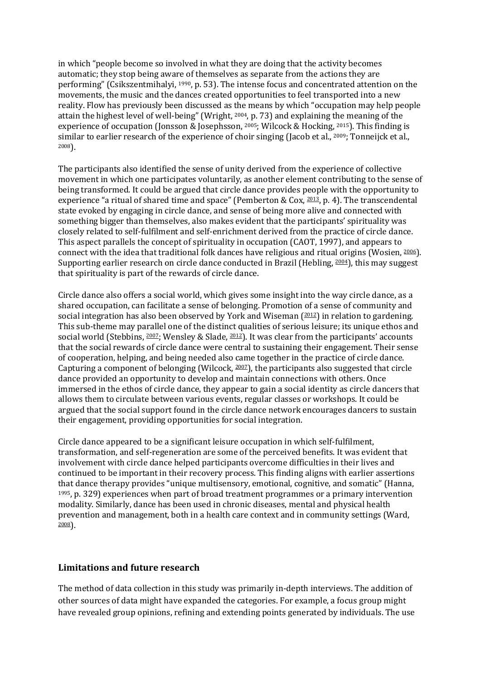in which "people become so involved in what they are doing that the activity becomes automatic; they stop being aware of themselves as separate from the actions they are performing" (Csikszentmihalyi, [1990,](https://www.ncbi.nlm.nih.gov/pmc/articles/PMC4917970/?report=classic#CIT0011) p. 53). The intense focus and concentrated attention on the movements, the music and the dances created opportunities to feel transported into a new reality. Flow has previously been discussed as the means by which "occupation may help people attain the highest level of well-being" (Wright[, 2004,](https://www.ncbi.nlm.nih.gov/pmc/articles/PMC4917970/?report=classic#CIT0055) p. 73) and explaining the meaning of the experience of occupation (Jonsson & Josephsson, [2005;](https://www.ncbi.nlm.nih.gov/pmc/articles/PMC4917970/?report=classic#CIT0026) Wilcock & Hocking, [2015\)](https://www.ncbi.nlm.nih.gov/pmc/articles/PMC4917970/?report=classic#CIT0052). This finding is similar to earlier research of the experience of choir singing (Jacob et al., <sup>2009</sup>; Tonneijck et al., [2008\)](https://www.ncbi.nlm.nih.gov/pmc/articles/PMC4917970/?report=classic#CIT0045).

The participants also identified the sense of unity derived from the experience of collective movement in which one participates voluntarily, as another element contributing to the sense of being transformed. It could be argued that circle dance provides people with the opportunity to experience "a ritual of shared time and space" (Pemberton & Cox,  $\frac{2013}{2}$ , p. 4). The transcendental state evoked by engaging in circle dance, and sense of being more alive and connected with something bigger than themselves, also makes evident that the participants' spirituality was closely related to self-fulfilment and self-enrichment derived from the practice of circle dance. This aspect parallels the concept of spirituality in occupation (CAOT, 1997), and appears to connect with the idea that traditional folk dances have religious and ritual origins (Wosien, [2006\)](https://www.ncbi.nlm.nih.gov/pmc/articles/PMC4917970/?report=classic#CIT0053). Supporting earlier research on circle dance conducted in Brazil (Hebling, [2004\)](https://www.ncbi.nlm.nih.gov/pmc/articles/PMC4917970/?report=classic#CIT0021), this may suggest that spirituality is part of the rewards of circle dance.

Circle dance also offers a social world, which gives some insight into the way circle dance, as a shared occupation, can facilitate a sense of belonging. Promotion of a sense of community and social integration has also been observed by York and Wiseman  $(2012)$  in relation to gardening. This sub-theme may parallel one of the distinct qualities of serious leisure; its unique ethos and social world (Stebbins, [2007;](https://www.ncbi.nlm.nih.gov/pmc/articles/PMC4917970/?report=classic#CIT0044) Wensley & Slade[, 2012\)](https://www.ncbi.nlm.nih.gov/pmc/articles/PMC4917970/?report=classic#CIT0048). It was clear from the participants' accounts that the social rewards of circle dance were central to sustaining their engagement. Their sense of cooperation, helping, and being needed also came together in the practice of circle dance. Capturing a component of belonging (Wilcock, [2007\)](https://www.ncbi.nlm.nih.gov/pmc/articles/PMC4917970/?report=classic#CIT0051), the participants also suggested that circle dance provided an opportunity to develop and maintain connections with others. Once immersed in the ethos of circle dance, they appear to gain a social identity as circle dancers that allows them to circulate between various events, regular classes or workshops. It could be argued that the social support found in the circle dance network encourages dancers to sustain their engagement, providing opportunities for social integration.

Circle dance appeared to be a significant leisure occupation in which self-fulfilment, transformation, and self-regeneration are some of the perceived benefits. It was evident that involvement with circle dance helped participants overcome difficulties in their lives and continued to be important in their recovery process. This finding aligns with earlier assertions that dance therapy provides "unique multisensory, emotional, cognitive, and somatic" (Hanna, [1995,](https://www.ncbi.nlm.nih.gov/pmc/articles/PMC4917970/?report=classic#CIT0019) p. 329) experiences when part of broad treatment programmes or a primary intervention modality. Similarly, dance has been used in chronic diseases, mental and physical health prevention and management, both in a health care context and in community settings (Ward, [2008\)](https://www.ncbi.nlm.nih.gov/pmc/articles/PMC4917970/?report=classic#CIT0047).

#### **Limitations and future research**

The method of data collection in this study was primarily in-depth interviews. The addition of other sources of data might have expanded the categories. For example, a focus group might have revealed group opinions, refining and extending points generated by individuals. The use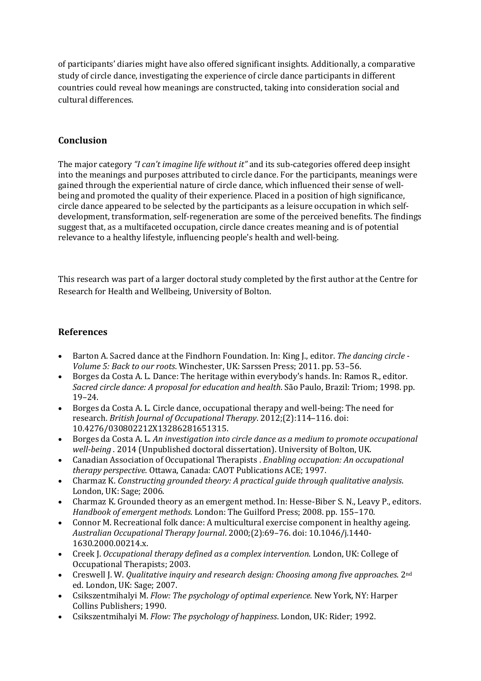of participants' diaries might have also offered significant insights. Additionally, a comparative study of circle dance, investigating the experience of circle dance participants in different countries could reveal how meanings are constructed, taking into consideration social and cultural differences.

# **Conclusion**

The major category *"I can't imagine life without it"* and its sub-categories offered deep insight into the meanings and purposes attributed to circle dance. For the participants, meanings were gained through the experiential nature of circle dance, which influenced their sense of wellbeing and promoted the quality of their experience. Placed in a position of high significance, circle dance appeared to be selected by the participants as a leisure occupation in which selfdevelopment, transformation, self-regeneration are some of the perceived benefits. The findings suggest that, as a multifaceted occupation, circle dance creates meaning and is of potential relevance to a healthy lifestyle, influencing people's health and well-being.

This research was part of a larger doctoral study completed by the first author at the Centre for Research for Health and Wellbeing, University of Bolton.

# **References**

- Barton A. Sacred dance at the Findhorn Foundation. In: King J., editor. *The dancing circle - Volume 5: Back to our roots*. Winchester, UK: Sarssen Press; 2011. pp. 53–56.
- Borges da Costa A. L. Dance: The heritage within everybody's hands. In: Ramos R., editor. *Sacred circle dance: A proposal for education and health*. São Paulo, Brazil: Triom; 1998. pp. 19–24.
- Borges da Costa A. L. Circle dance, occupational therapy and well-being: The need for research. *British Journal of Occupational Therapy*. 2012;(2):114–116. doi: 10.4276/030802212X13286281651315.
- Borges da Costa A. L. *An investigation into circle dance as a medium to promote occupational well-being* . 2014 (Unpublished doctoral dissertation). University of Bolton, UK.
- Canadian Association of Occupational Therapists . *Enabling occupation: An occupational therapy perspective*. Ottawa, Canada: CAOT Publications ACE; 1997.
- Charmaz K. *Constructing grounded theory: A practical guide through qualitative analysis*. London, UK: Sage; 2006.
- Charmaz K. Grounded theory as an emergent method. In: Hesse-Biber S. N., Leavy P., editors. *Handbook of emergent methods*. London: The Guilford Press; 2008. pp. 155–170.
- Connor M. Recreational folk dance: A multicultural exercise component in healthy ageing. *Australian Occupational Therapy Journal*. 2000;(2):69–76. doi: 10.1046/j.1440- 1630.2000.00214.x.
- Creek J. *Occupational therapy defined as a complex intervention*. London, UK: College of Occupational Therapists; 2003.
- Creswell J. W. *Qualitative inquiry and research design: Choosing among five approaches*. 2nd ed. London, UK: Sage; 2007.
- Csikszentmihalyi M. *Flow: The psychology of optimal experience*. New York, NY: Harper Collins Publishers; 1990.
- Csikszentmihalyi M. *Flow: The psychology of happiness*. London, UK: Rider; 1992.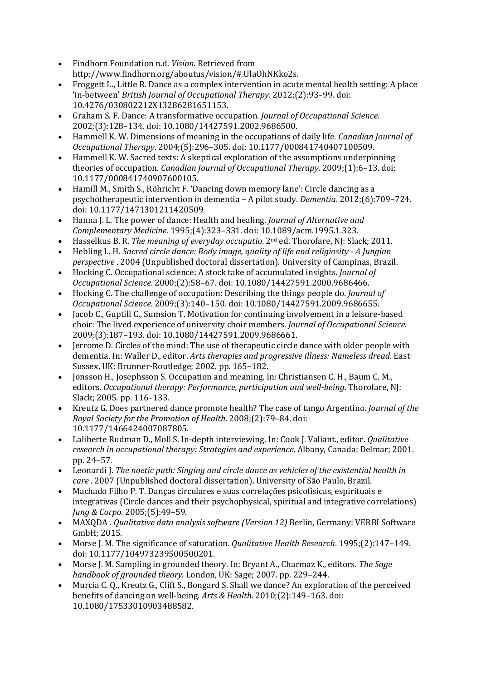- Findhorn Foundation n.d. *Vision*. Retrieved from [http://www.findhorn.org/aboutus/vision/#.UlaOhNKko2s.](http://www.findhorn.org/aboutus/vision/#.UlaOhNKko2s)
- Froggett L., Little R. Dance as a complex intervention in acute mental health setting: A place 'in-between' *British Journal of Occupational Therapy*. 2012;(2):93–99. doi: 10.4276/030802212X13286281651153.
- Graham S. F. Dance: A transformative occupation. *Journal of Occupational Science*. 2002;(3):128–134. doi: 10.1080/14427591.2002.9686500.
- Hammell K. W. Dimensions of meaning in the occupations of daily life. *Canadian Journal of Occupational Therapy*. 2004;(5):296–305. doi: 10.1177/000841740407100509.
- Hammell K. W. Sacred texts: A skeptical exploration of the assumptions underpinning theories of occupation. *Canadian Journal of Occupational Therapy*. 2009;(1):6–13. doi: 10.1177/000841740907600105.
- Hamill M., Smith S., Röhricht F. 'Dancing down memory lane': Circle dancing as a psychotherapeutic intervention in dementia – A pilot study. *Dementia*. 2012;(6):709–724. doi: 10.1177/1471301211420509.
- Hanna J. L. The power of dance: Health and healing. *Journal of Alternative and Complementary Medicine*. 1995;(4):323–331. doi: 10.1089/acm.1995.1.323.
- Hasselkus B. R. *The meaning of everyday occupatio*. 2nd ed. Thorofare, NJ: Slack; 2011.
- Hebling L. H. *Sacred circle dance: Body image, quality of life and religiosity - A Jungian perspective* . 2004 (Unpublished doctoral dissertation). University of Campinas, Brazil.
- Hocking C. Occupational science: A stock take of accumulated insights. *Journal of Occupational Science*. 2000;(2):58–67. doi: 10.1080/14427591.2000.9686466.
- Hocking C. The challenge of occupation: Describing the things people do. *Journal of Occupational Science*. 2009;(3):140–150. doi: 10.1080/14427591.2009.9686655.
- Jacob C., Guptill C., Sumsion T. Motivation for continuing involvement in a leisure-based choir: The lived experience of university choir members. *Journal of Occupational Science*. 2009;(3):187–193. doi: 10.1080/14427591.2009.9686661.
- Jerrome D. Circles of the mind: The use of therapeutic circle dance with older people with dementia. In: Waller D., editor. *Arts therapies and progressive illness: Nameless dread*. East Sussex, UK: Brunner-Routledge; 2002. pp. 165–182.
- Jonsson H., Josephsson S. Occupation and meaning. In: Christiansen C. H., Baum C. M., editors. *Occupational therapy: Performance, participation and well-being*. Thorofare, NJ: Slack; 2005. pp. 116–133.
- Kreutz G. Does partnered dance promote health? The case of tango Argentino. *Journal of the Royal Society for the Promotion of Health*. 2008;(2):79–84. doi: 10.1177/1466424007087805.
- Laliberte Rudman D., Moll S. In-depth interviewing. In: Cook J. Valiant., editor. *Qualitative research in occupational therapy: Strategies and experience*. Albany, Canada: Delmar; 2001. pp. 24–57.
- Leonardi J. *The noetic path: Singing and circle dance as vehicles of the existential health in care* . 2007 (Unpublished doctoral dissertation). University of São Paulo, Brazil.
- Machado Filho P. T. Danças circulares e suas correlações psicofísicas, espirituais e integrativas (Circle dances and their psychophysical, spiritual and integrative correlations) *Jung & Corpo*. 2005;(5):49–59.
- MAXQDA . *Qualitative data analysis software (Version 12)* Berlin, Germany: VERBI Software GmbH; 2015.
- Morse J. M. The significance of saturation. *Qualitative Health Research*. 1995;(2):147–149. doi: 10.1177/104973239500500201.
- Morse J. M. Sampling in grounded theory. In: Bryant A., Charmaz K., editors. *The Sage handbook of grounded theory*. London, UK: Sage; 2007. pp. 229–244.
- Murcia C. Q., Kreutz G., Clift S., Bongard S. Shall we dance? An exploration of the perceived benefits of dancing on well-being. *Arts & Health*. 2010;(2):149–163. doi: 10.1080/17533010903488582.